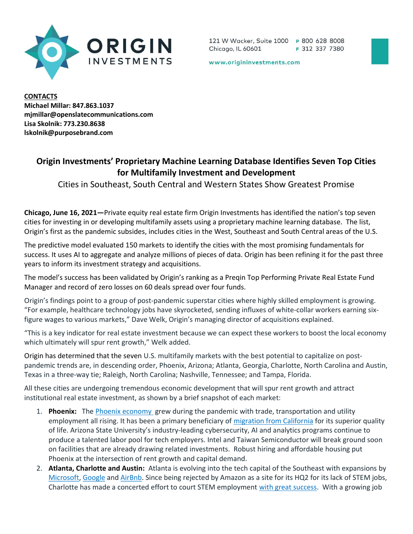

121 W Wacker, Suite 1000 P 800 628 8008 F 312 337 7380 Chicago, IL 60601

www.origininvestments.com

**CONTACTS** Michael Millar: 847.863.1037 mjmillar@openslatecommunications.com Lisa Skolnik: 773.230.8638 lskolnik@purposebrand.com

## Origin Investments' Proprietary Machine Learning Database Identifies Seven Top Cities for Multifamily Investment and Development

Cities in Southeast, South Central and Western States Show Greatest Promise

Chicago, June 16, 2021—Private equity real estate firm Origin Investments has identified the nation's top seven cities for investing in or developing multifamily assets using a proprietary machine learning database. The list, Origin's first as the pandemic subsides, includes cities in the West, Southeast and South Central areas of the U.S.

The predictive model evaluated 150 markets to identify the cities with the most promising fundamentals for success. It uses AI to aggregate and analyze millions of pieces of data. Origin has been refining it for the past three years to inform its investment strategy and acquisitions.

The model's success has been validated by Origin's ranking as a Preqin Top Performing Private Real Estate Fund Manager and record of zero losses on 60 deals spread over four funds.

Origin's findings point to a group of post-pandemic superstar cities where highly skilled employment is growing. "For example, healthcare technology jobs have skyrocketed, sending influxes of white-collar workers earning sixfigure wages to various markets," Dave Welk, Origin's managing director of acquisitions explained.

"This is a key indicator for real estate investment because we can expect these workers to boost the local economy which ultimately will spur rent growth," Welk added.

Origin has determined that the seven U.S. multifamily markets with the best potential to capitalize on postpandemic trends are, in descending order, Phoenix, Arizona; Atlanta, Georgia, Charlotte, North Carolina and Austin, Texas in a three-way tie; Raleigh, North Carolina; Nashville, Tennessee; and Tampa, Florida.

All these cities are undergoing tremendous economic development that will spur rent growth and attract institutional real estate investment, as shown by a brief snapshot of each market:

- 1. Phoenix: The Phoenix economy grew during the pandemic with trade, transportation and utility employment all rising. It has been a primary beneficiary of migration from California for its superior quality of life. Arizona State University's industry-leading cybersecurity, AI and analytics programs continue to produce a talented labor pool for tech employers. Intel and Taiwan Semiconductor will break ground soon on facilities that are already drawing related investments. Robust hiring and affordable housing put Phoenix at the intersection of rent growth and capital demand.
- 2. Atlanta, Charlotte and Austin: Atlanta is evolving into the tech capital of the Southeast with expansions by Microsoft, Google and AirBnb. Since being rejected by Amazon as a site for its HQ2 for its lack of STEM jobs, Charlotte has made a concerted effort to court STEM employment with great success. With a growing job